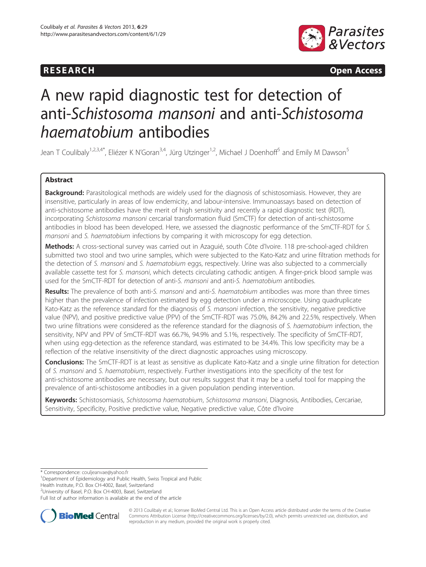# **RESEARCH RESEARCH CONSUMING ACCESS**



# A new rapid diagnostic test for detection of anti-Schistosoma mansoni and anti-Schistosoma haematobium antibodies

Jean T Coulibaly<sup>1,2,3,4\*</sup>, Eliézer K N'Goran<sup>3,4</sup>, Jürg Utzinger<sup>1,2</sup>, Michael J Doenhoff<sup>5</sup> and Emily M Dawson<sup>5</sup>

# Abstract

Background: Parasitological methods are widely used for the diagnosis of schistosomiasis. However, they are insensitive, particularly in areas of low endemicity, and labour-intensive. Immunoassays based on detection of anti-schistosome antibodies have the merit of high sensitivity and recently a rapid diagnostic test (RDT), incorporating Schistosoma mansoni cercarial transformation fluid (SmCTF) for detection of anti-schistosome antibodies in blood has been developed. Here, we assessed the diagnostic performance of the SmCTF-RDT for S. mansoni and S. haematobium infections by comparing it with microscopy for egg detection.

Methods: A cross-sectional survey was carried out in Azaguié, south Côte d'Ivoire. 118 pre-school-aged children submitted two stool and two urine samples, which were subjected to the Kato-Katz and urine filtration methods for the detection of S. mansoni and S. haematobium eggs, respectively. Urine was also subjected to a commercially available cassette test for S. mansoni, which detects circulating cathodic antigen. A finger-prick blood sample was used for the SmCTF-RDT for detection of anti-S. mansoni and anti-S. haematobium antibodies.

Results: The prevalence of both anti-S. mansoni and anti-S. haematobium antibodies was more than three times higher than the prevalence of infection estimated by egg detection under a microscope. Using quadruplicate Kato-Katz as the reference standard for the diagnosis of S. mansoni infection, the sensitivity, negative predictive value (NPV), and positive predictive value (PPV) of the SmCTF-RDT was 75.0%, 84.2% and 22.5%, respectively. When two urine filtrations were considered as the reference standard for the diagnosis of S. haematobium infection, the sensitivity, NPV and PPV of SmCTF-RDT was 66.7%, 94.9% and 5.1%, respectively. The specificity of SmCTF-RDT, when using egg-detection as the reference standard, was estimated to be 34.4%. This low specificity may be a reflection of the relative insensitivity of the direct diagnostic approaches using microscopy.

Conclusions: The SmCTF-RDT is at least as sensitive as duplicate Kato-Katz and a single urine filtration for detection of S. mansoni and S. haematobium, respectively. Further investigations into the specificity of the test for anti-schistosome antibodies are necessary, but our results suggest that it may be a useful tool for mapping the prevalence of anti-schistosome antibodies in a given population pending intervention.

Keywords: Schistosomiasis, Schistosoma haematobium, Schistosoma mansoni, Diagnosis, Antibodies, Cercariae, Sensitivity, Specificity, Positive predictive value, Negative predictive value, Côte d'Ivoire

\* Correspondence: [couljeanvae@yahoo.fr](mailto:couljeanvae@yahoo.fr) <sup>1</sup>

Health Institute, P.O. Box CH-4002, Basel, Switzerland

<sup>2</sup>University of Basel, P.O. Box CH-4003, Basel, Switzerland

Full list of author information is available at the end of the article



© 2013 Coulibaly et al.; licensee BioMed Central Ltd. This is an Open Access article distributed under the terms of the Creative Commons Attribution License [\(http://creativecommons.org/licenses/by/2.0\)](http://creativecommons.org/licenses/by/2.0), which permits unrestricted use, distribution, and reproduction in any medium, provided the original work is properly cited.

Department of Epidemiology and Public Health, Swiss Tropical and Public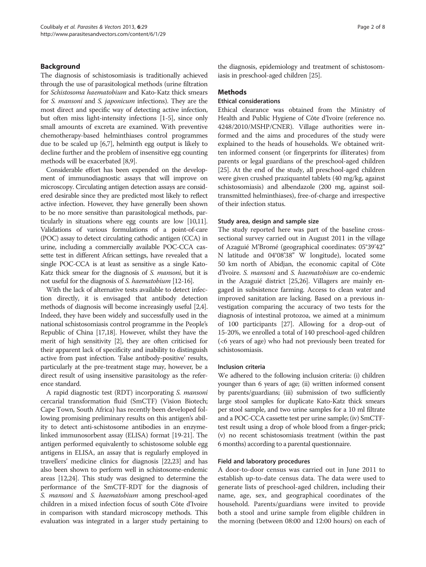# Background

The diagnosis of schistosomiasis is traditionally achieved through the use of parasitological methods (urine filtration for Schistosoma haematobium and Kato-Katz thick smears for S. mansoni and S. japonicum infections). They are the most direct and specific way of detecting active infection, but often miss light-intensity infections [[1](#page-6-0)-[5\]](#page-6-0), since only small amounts of excreta are examined. With preventive chemotherapy-based helminthiases control programmes due to be scaled up [[6,7](#page-6-0)], helminth egg output is likely to decline further and the problem of insensitive egg counting methods will be exacerbated [[8,9](#page-6-0)].

Considerable effort has been expended on the development of immunodiagnostic assays that will improve on microscopy. Circulating antigen detection assays are considered desirable since they are predicted most likely to reflect active infection. However, they have generally been shown to be no more sensitive than parasitological methods, particularly in situations where egg counts are low [[10,11](#page-6-0)]. Validations of various formulations of a point-of-care (POC) assay to detect circulating cathodic antigen (CCA) in urine, including a commercially available POC-CCA cassette test in different African settings, have revealed that a single POC-CCA is at least as sensitive as a single Kato-Katz thick smear for the diagnosis of S. mansoni, but it is not useful for the diagnosis of S. haematobium [\[12-16](#page-6-0)].

With the lack of alternative tests available to detect infection directly, it is envisaged that antibody detection methods of diagnosis will become increasingly useful [\[2,4](#page-6-0)]. Indeed, they have been widely and successfully used in the national schistosomiasis control programme in the People's Republic of China [\[17,18](#page-6-0)]. However, whilst they have the merit of high sensitivity [[2\]](#page-6-0), they are often criticised for their apparent lack of specificity and inability to distinguish active from past infection. 'False antibody-positive' results, particularly at the pre-treatment stage may, however, be a direct result of using insensitive parasitology as the reference standard.

A rapid diagnostic test (RDT) incorporating S. mansoni cercarial transformation fluid (SmCTF) (Vision Biotech; Cape Town, South Africa) has recently been developed following promising preliminary results on this antigen's ability to detect anti-schistosome antibodies in an enzymelinked immunosorbent assay (ELISA) format [[19](#page-6-0)-[21](#page-6-0)]. The antigen performed equivalently to schistosome soluble egg antigens in ELISA, an assay that is regularly employed in travellers' medicine clinics for diagnosis [\[22,23](#page-6-0)] and has also been shown to perform well in schistosome-endemic areas [\[12,24](#page-6-0)]. This study was designed to determine the performance of the SmCTF-RDT for the diagnosis of S. mansoni and S. haematobium among preschool-aged children in a mixed infection focus of south Côte d'Ivoire in comparison with standard microscopy methods. This evaluation was integrated in a larger study pertaining to

the diagnosis, epidemiology and treatment of schistosomiasis in preschool-aged children [\[25\]](#page-6-0).

#### **Methods**

# Ethical considerations

Ethical clearance was obtained from the Ministry of Health and Public Hygiene of Côte d'Ivoire (reference no. 4248/2010/MSHP/CNER). Village authorities were informed and the aims and procedures of the study were explained to the heads of households. We obtained written informed consent (or fingerprints for illiterates) from parents or legal guardians of the preschool-aged children [[25](#page-6-0)]. At the end of the study, all preschool-aged children were given crushed praziquantel tablets (40 mg/kg, against schistosomiasis) and albendazole (200 mg, against soiltransmitted helminthiases), free-of-charge and irrespective of their infection status.

#### Study area, design and sample size

The study reported here was part of the baseline crosssectional survey carried out in August 2011 in the village of Azaguié M'Bromé (geographical coordinates: 05°39'42" N latitude and 04°08'38" W longitude), located some 50 km north of Abidjan, the economic capital of Côte d'Ivoire. S. mansoni and S. haematobium are co-endemic in the Azaguié district [[25,26](#page-6-0)]. Villagers are mainly engaged in subsistence farming. Access to clean water and improved sanitation are lacking. Based on a previous investigation comparing the accuracy of two tests for the diagnosis of intestinal protozoa, we aimed at a minimum of 100 participants [\[27\]](#page-6-0). Allowing for a drop-out of 15-20%, we enrolled a total of 140 preschool-aged children (<6 years of age) who had not previously been treated for schistosomiasis.

#### Inclusion criteria

We adhered to the following inclusion criteria: (i) children younger than 6 years of age; (ii) written informed consent by parents/guardians; (iii) submission of two sufficiently large stool samples for duplicate Kato-Katz thick smears per stool sample, and two urine samples for a 10 ml filtrate and a POC-CCA cassette test per urine sample; (iv) SmCTFtest result using a drop of whole blood from a finger-prick; (v) no recent schistosomiasis treatment (within the past 6 months) according to a parental questionnaire.

# Field and laboratory procedures

A door-to-door census was carried out in June 2011 to establish up-to-date census data. The data were used to generate lists of preschool-aged children, including their name, age, sex, and geographical coordinates of the household. Parents/guardians were invited to provide both a stool and urine sample from eligible children in the morning (between 08:00 and 12:00 hours) on each of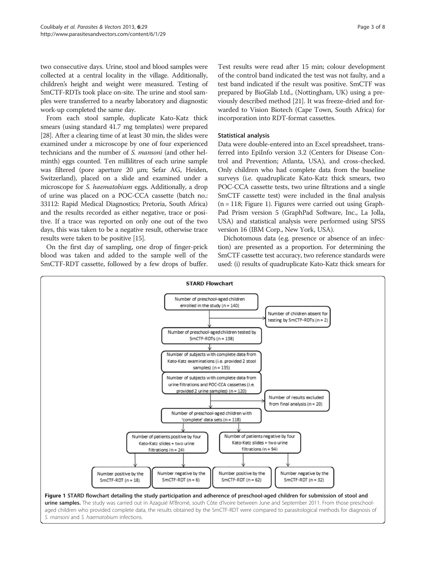<span id="page-2-0"></span>two consecutive days. Urine, stool and blood samples were collected at a central locality in the village. Additionally, children's height and weight were measured. Testing of SmCTF-RDTs took place on-site. The urine and stool samples were transferred to a nearby laboratory and diagnostic work-up completed the same day.

From each stool sample, duplicate Kato-Katz thick smears (using standard 41.7 mg templates) were prepared [[28](#page-6-0)]. After a clearing time of at least 30 min, the slides were examined under a microscope by one of four experienced technicians and the number of S. mansoni (and other helminth) eggs counted. Ten millilitres of each urine sample was filtered (pore aperture 20 μm; Sefar AG, Heiden, Switzerland), placed on a slide and examined under a microscope for S. haematobium eggs. Additionally, a drop of urine was placed on a POC-CCA cassette (batch no.: 33112: Rapid Medical Diagnostics; Pretoria, South Africa) and the results recorded as either negative, trace or positive. If a trace was reported on only one out of the two days, this was taken to be a negative result, otherwise trace results were taken to be positive [\[15](#page-6-0)].

On the first day of sampling, one drop of finger-prick blood was taken and added to the sample well of the SmCTF-RDT cassette, followed by a few drops of buffer. Test results were read after 15 min; colour development of the control band indicated the test was not faulty, and a test band indicated if the result was positive. SmCTF was prepared by BioGlab Ltd., (Nottingham, UK) using a previously described method [\[21\]](#page-6-0). It was freeze-dried and forwarded to Vision Biotech (Cape Town, South Africa) for incorporation into RDT-format cassettes.

#### Statistical analysis

Data were double-entered into an Excel spreadsheet, transferred into EpiInfo version 3.2 (Centers for Disease Control and Prevention; Atlanta, USA), and cross-checked. Only children who had complete data from the baseline surveys (i.e. quadruplicate Kato-Katz thick smears, two POC-CCA cassette tests, two urine filtrations and a single SmCTF cassette test) were included in the final analysis  $(n = 118;$  Figure 1). Figures were carried out using Graph-Pad Prism version 5 (GraphPad Software, Inc., La Jolla, USA) and statistical analysis were performed using SPSS version 16 (IBM Corp., New York, USA).

Dichotomous data (e.g. presence or absence of an infection) are presented as a proportion. For determining the SmCTF cassette test accuracy, two reference standards were used: (i) results of quadruplicate Kato-Katz thick smears for

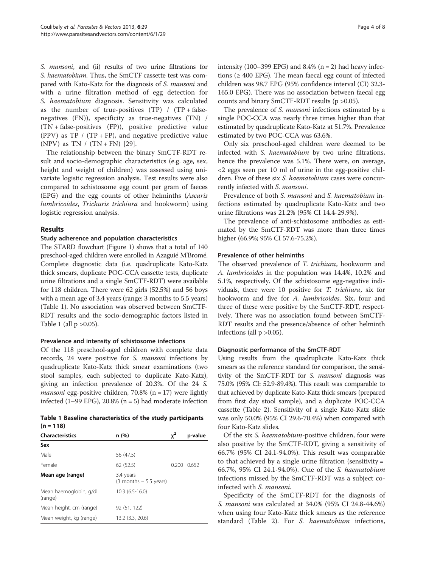S. *mansoni*, and (ii) results of two urine filtrations for S. haematobium. Thus, the SmCTF cassette test was compared with Kato-Katz for the diagnosis of S. mansoni and with a urine filtration method of egg detection for S. haematobium diagnosis. Sensitivity was calculated as the number of true-positives  $(TP) / (TP + false$ negatives (FN)), specificity as true-negatives (TN) / (TN + false-positives (FP)), positive predictive value (PPV) as TP / (TP + FP), and negative predictive value (NPV) as TN / (TN + FN) [[29\]](#page-6-0).

The relationship between the binary SmCTF-RDT result and socio-demographic characteristics (e.g. age, sex, height and weight of children) was assessed using univariate logistic regression analysis. Test results were also compared to schistosome egg count per gram of faeces (EPG) and the egg counts of other helminths (Ascaris lumbricoides, Trichuris trichiura and hookworm) using logistic regression analysis.

# Results

#### Study adherence and population characteristics

The STARD flowchart (Figure [1](#page-2-0)) shows that a total of 140 preschool-aged children were enrolled in Azaguié M'Bromé. Complete diagnostic data (i.e. quadruplicate Kato-Katz thick smears, duplicate POC-CCA cassette tests, duplicate urine filtrations and a single SmCTF-RDT) were available for 118 children. There were 62 girls (52.5%) and 56 boys with a mean age of 3.4 years (range: 3 months to 5.5 years) (Table 1). No association was observed between SmCTF-RDT results and the socio-demographic factors listed in Table 1 (all  $p > 0.05$ ).

#### Prevalence and intensity of schistosome infections

Of the 118 preschool-aged children with complete data records, 24 were positive for S. mansoni infections by quadruplicate Kato-Katz thick smear examinations (two stool samples, each subjected to duplicate Kato-Katz), giving an infection prevalence of 20.3%. Of the 24 S. *mansoni* egg-positive children, 70.8% ( $n = 17$ ) were lightly infected  $(1-99$  EPG), 20.8%  $(n = 5)$  had moderate infection

|             | Table 1 Baseline characteristics of the study participants |  |
|-------------|------------------------------------------------------------|--|
| $(n = 118)$ |                                                            |  |

| <b>Characteristics</b>            | n (%)                                  | $x^2$ | p-value |
|-----------------------------------|----------------------------------------|-------|---------|
| Sex                               |                                        |       |         |
| Male                              | 56 (47.5)                              |       |         |
| Female                            | 62 (52.5)                              | 0.200 | 0.652   |
| Mean age (range)                  | 3.4 years<br>$(3$ months $-5.5$ years) |       |         |
| Mean haemoglobin, g/dl<br>(range) | $10.3(6.5-16.0)$                       |       |         |
| Mean height, cm (range)           | 92 (51, 122)                           |       |         |
| Mean weight, kg (range)           | 13.2 (3.3, 20.6)                       |       |         |

intensity (100–399 EPG) and 8.4% ( $n = 2$ ) had heavy infections ( $\geq$  400 EPG). The mean faecal egg count of infected children was 98.7 EPG (95% confidence interval (CI) 32.3- 165.0 EPG). There was no association between faecal egg counts and binary SmCTF-RDT results (p >0.05).

The prevalence of S. *mansoni* infections estimated by a single POC-CCA was nearly three times higher than that estimated by quadruplicate Kato-Katz at 51.7%. Prevalence estimated by two POC-CCA was 63.6%.

Only six preschool-aged children were deemed to be infected with S. haematobium by two urine filtrations, hence the prevalence was 5.1%. There were, on average, <2 eggs seen per 10 ml of urine in the egg-positive children. Five of these six *S. haematobium* cases were concurrently infected with S. mansoni.

Prevalence of both S. mansoni and S. haematobium infections estimated by quadruplicate Kato-Katz and two urine filtrations was 21.2% (95% CI 14.4-29.9%).

The prevalence of anti-schistosome antibodies as estimated by the SmCTF-RDT was more than three times higher (66.9%; 95% CI 57.6-75.2%).

#### Prevalence of other helminths

The observed prevalence of T. trichiura, hookworm and A. lumbricoides in the population was 14.4%, 10.2% and 5.1%, respectively. Of the schistosome egg-negative individuals, there were 10 positive for T. trichiura, six for hookworm and five for A. lumbricoides. Six, four and three of these were positive by the SmCTF-RDT, respectively. There was no association found between SmCTF-RDT results and the presence/absence of other helminth infections (all  $p > 0.05$ ).

#### Diagnostic performance of the SmCTF-RDT

Using results from the quadruplicate Kato-Katz thick smears as the reference standard for comparison, the sensitivity of the SmCTF-RDT for S. mansoni diagnosis was 75.0% (95% CI: 52.9-89.4%). This result was comparable to that achieved by duplicate Kato-Katz thick smears (prepared from first day stool sample), and a duplicate POC-CCA cassette (Table [2\)](#page-4-0). Sensitivity of a single Kato-Katz slide was only 50.0% (95% CI 29.6-70.4%) when compared with four Kato-Katz slides.

Of the six S. haematobium-positive children, four were also positive by the SmCTF-RDT, giving a sensitivity of 66.7% (95% CI 24.1-94.0%). This result was comparable to that achieved by a single urine filtration (sensitivity = 66.7%, 95% CI 24.1-94.0%). One of the S. haematobium infections missed by the SmCTF-RDT was a subject coinfected with S. mansoni.

Specificity of the SmCTF-RDT for the diagnosis of S. mansoni was calculated at 34.0% (95% CI 24.8-44.6%) when using four Kato-Katz thick smears as the reference standard (Table [2\)](#page-4-0). For S. haematobium infections,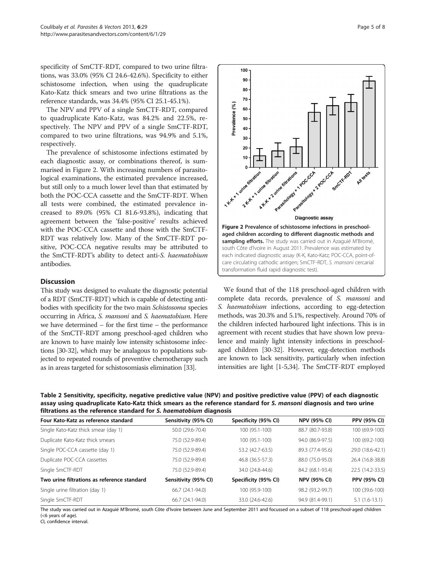<span id="page-4-0"></span>specificity of SmCTF-RDT, compared to two urine filtrations, was 33.0% (95% CI 24.6-42.6%). Specificity to either schistosome infection, when using the quadruplicate Kato-Katz thick smears and two urine filtrations as the reference standards, was 34.4% (95% CI 25.1-45.1%).

The NPV and PPV of a single SmCTF-RDT, compared to quadruplicate Kato-Katz, was 84.2% and 22.5%, respectively. The NPV and PPV of a single SmCTF-RDT, compared to two urine filtrations, was 94.9% and 5.1%, respectively.

The prevalence of schistosome infections estimated by each diagnostic assay, or combinations thereof, is summarised in Figure 2. With increasing numbers of parasitological examinations, the estimated prevalence increased, but still only to a much lower level than that estimated by both the POC-CCA cassette and the SmCTF-RDT. When all tests were combined, the estimated prevalence increased to 89.0% (95% CI 81.6-93.8%), indicating that agreement between the 'false-positive' results achieved with the POC-CCA cassette and those with the SmCTF-RDT was relatively low. Many of the SmCTF-RDT positive, POC-CCA negative results may be attributed to the SmCTF-RDT's ability to detect anti-S. haematobium antibodies.

#### **Discussion**

This study was designed to evaluate the diagnostic potential of a RDT (SmCTF-RDT) which is capable of detecting antibodies with specificity for the two main Schistosoma species occurring in Africa, S. mansoni and S. haematobium. Here we have determined – for the first time – the performance of the SmCTF-RDT among preschool-aged children who are known to have mainly low intensity schistosome infections [\[30-32](#page-6-0)], which may be analagous to populations subjected to repeated rounds of preventive chemotherapy such as in areas targeted for schistosomiasis elimination [\[33](#page-6-0)].



We found that of the 118 preschool-aged children with complete data records, prevalence of S. mansoni and S. haematobium infections, according to egg-detection methods, was 20.3% and 5.1%, respectively. Around 70% of the children infected harboured light infections. This is in agreement with recent studies that have shown low prevalence and mainly light intensity infections in preschoolaged children [\[30-32](#page-6-0)]. However, egg-detection methods are known to lack sensitivity, particularly when infection intensities are light [\[1-5,34\]](#page-6-0). The SmCTF-RDT employed

Table 2 Sensitivity, specificity, negative predictive value (NPV) and positive predictive value (PPV) of each diagnostic assay using quadruplicate Kato-Katz thick smears as the reference standard for S. mansoni diagnosis and two urine filtrations as the reference standard for S. haematobium diagnosis

| Four Kato-Katz as reference standard        | Sensitivity (95% CI) | Specificity (95% CI) | <b>NPV (95% CI)</b> | <b>PPV (95% CI)</b> |  |  |  |  |
|---------------------------------------------|----------------------|----------------------|---------------------|---------------------|--|--|--|--|
| Single Kato-Katz thick smear (day 1)        | 50.0 (29.6-70.4)     | 100 (95.1-100)       | 88.7 (80.7-93.8)    | 100 (69.9-100)      |  |  |  |  |
| Duplicate Kato-Katz thick smears            | 75.0 (52.9-89.4)     | 100 (95.1-100)       | 94.0 (86.9-97.5)    | 100 (69.2-100)      |  |  |  |  |
| Single POC-CCA cassette (day 1)             | 75.0 (52.9-89.4)     | 53.2 (42.7-63.5)     | 89.3 (77.4-95.6)    | 29.0 (18.6-42.1)    |  |  |  |  |
| Duplicate POC-CCA cassettes                 | 75.0 (52.9-89.4)     | 46.8 (36.5-57.3)     | 88.0 (75.0-95.0)    | 26.4 (16.8-38.8)    |  |  |  |  |
| Single SmCTF-RDT                            | 75.0 (52.9-89.4)     | 34.0 (24.8-44.6)     | 84.2 (68.1-93.4)    | 22.5 (14.2-33.5)    |  |  |  |  |
| Two urine filtrations as reference standard | Sensitivity (95% CI) | Specificity (95% CI) | <b>NPV (95% CI)</b> | PPV (95% CI)        |  |  |  |  |
| Single urine filtration (day 1)             | 66.7 (24.1-94.0)     | 100 (95.9-100)       | 98.2 (93.2-99.7)    | 100 (39.6-100)      |  |  |  |  |
| Single SmCTF-RDT                            | 66.7 (24.1-94.0)     | 33.0 (24.6-42.6)     | 94.9 (81.4-99.1)    | $5.1(1.6-13.1)$     |  |  |  |  |

The study was carried out in Azaguié M'Bromé, south Côte d'Ivoire between June and September 2011 and focussed on a subset of 118 preschool-aged children (<6 years of age).

CI, confidence interval.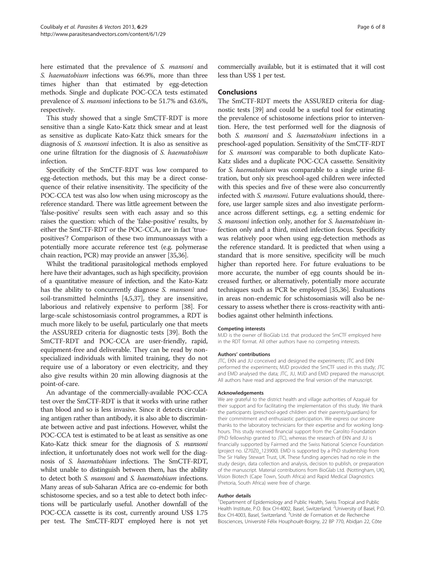here estimated that the prevalence of S. *mansoni* and S. haematobium infections was 66.9%, more than three times higher than that estimated by egg-detection methods. Single and duplicate POC-CCA tests estimated prevalence of S. mansoni infections to be 51.7% and 63.6%, respectively.

This study showed that a single SmCTF-RDT is more sensitive than a single Kato-Katz thick smear and at least as sensitive as duplicate Kato-Katz thick smears for the diagnosis of S. mansoni infection. It is also as sensitive as one urine filtration for the diagnosis of S. haematobium infection.

Specificity of the SmCTF-RDT was low compared to egg-detection methods, but this may be a direct consequence of their relative insensitivity. The specificity of the POC-CCA test was also low when using microscopy as the reference standard. There was little agreement between the 'false-positive' results seen with each assay and so this raises the question: which of the 'false-positive' results, by either the SmCTF-RDT or the POC-CCA, are in fact 'truepositives'? Comparison of these two immunoassays with a potentially more accurate reference test (e.g. polymerase chain reaction, PCR) may provide an answer [\[35,36](#page-6-0)].

Whilst the traditional parasitological methods employed here have their advantages, such as high specificity, provision of a quantitative measure of infection, and the Kato-Katz has the ability to concurrently diagnose S. mansoni and soil-transmitted helminths [\[4,5](#page-6-0)[,37\]](#page-7-0), they are insensitive, laborious and relatively expensive to perform [\[38\]](#page-7-0). For large-scale schistosomiasis control programmes, a RDT is much more likely to be useful, particularly one that meets the ASSURED criteria for diagnostic tests [\[39\]](#page-7-0). Both the SmCTF-RDT and POC-CCA are user-friendly, rapid, equipment-free and deliverable. They can be read by nonspecialized individuals with limited training, they do not require use of a laboratory or even electricity, and they also give results within 20 min allowing diagnosis at the point-of-care.

An advantage of the commercially-available POC-CCA test over the SmCTF-RDT is that it works with urine rather than blood and so is less invasive. Since it detects circulating antigen rather than antibody, it is also able to discriminate between active and past infections. However, whilst the POC-CCA test is estimated to be at least as sensitive as one Kato-Katz thick smear for the diagnosis of S. mansoni infection, it unfortunately does not work well for the diagnosis of S. haematobium infections. The SmCTF-RDT, whilst unable to distinguish between them, has the ability to detect both S. mansoni and S. haematobium infections. Many areas of sub-Saharan Africa are co-endemic for both schistosome species, and so a test able to detect both infections will be particularly useful. Another downfall of the POC-CCA cassette is its cost, currently around US\$ 1.75 per test. The SmCTF-RDT employed here is not yet

commercially available, but it is estimated that it will cost less than US\$ 1 per test.

### **Conclusions**

The SmCTF-RDT meets the ASSURED criteria for diagnostic tests [\[39\]](#page-7-0) and could be a useful tool for estimating the prevalence of schistosome infections prior to intervention. Here, the test performed well for the diagnosis of both S. mansoni and S. haematobium infections in a preschool-aged population. Sensitivity of the SmCTF-RDT for S. *mansoni* was comparable to both duplicate Kato-Katz slides and a duplicate POC-CCA cassette. Sensitivity for S. haematobium was comparable to a single urine filtration, but only six preschool-aged children were infected with this species and five of these were also concurrently infected with S. mansoni. Future evaluations should, therefore, use larger sample sizes and also investigate performance across different settings, e.g. a setting endemic for S. mansoni infection only, another for S. haematobium infection only and a third, mixed infection focus. Specificity was relatively poor when using egg-detection methods as the reference standard. It is predicted that when using a standard that is more sensitive, specificity will be much higher than reported here. For future evaluations to be more accurate, the number of egg counts should be increased further, or alternatively, potentially more accurate techniques such as PCR be employed [[35,36\]](#page-6-0). Evaluations in areas non-endemic for schistosomiasis will also be necessary to assess whether there is cross-reactivity with antibodies against other helminth infections.

#### Competing interests

MJD is the owner of BioGlab Ltd. that produced the SmCTF employed here in the RDT format. All other authors have no competing interests.

#### Authors' contributions

JTC, EKN and JU conceived and designed the experiments; JTC and EKN performed the experiments; MJD provided the SmCTF used in this study; JTC and EMD analysed the data; JTC, JU, MJD and EMD prepared the manuscript. All authors have read and approved the final version of the manuscript.

#### Acknowledgements

We are grateful to the district health and village authorities of Azaguié for their support and for facilitating the implementation of this study. We thank the participants (preschool-aged children and their parents/guardians) for their commitment and enthusiastic participation. We express our sincere thanks to the laboratory technicians for their expertise and for working longhours. This study received financial support from the Carolito Foundation (PhD fellowship granted to JTC), whereas the research of EKN and JU is financially supported by Fairmed and the Swiss National Science Foundation (project no. IZ70Z0\_123900). EMD is supported by a PhD studentship from The Sir Halley Stewart Trust, UK. These funding agencies had no role in the study design, data collection and analysis, decision to publish, or preparation of the manuscript. Material contributions from BioGlab Ltd. (Nottingham, UK), Vision Biotech (Cape Town, South Africa) and Rapid Medical Diagnostics (Pretoria, South Africa) were free of charge.

#### Author details

<sup>1</sup>Department of Epidemiology and Public Health, Swiss Tropical and Public Health Institute, P.O. Box CH-4002, Basel, Switzerland. <sup>2</sup>University of Basel, P.O. Box CH-4003, Basel, Switzerland. <sup>3</sup>Unité de Formation et de Recherche Biosciences, Université Félix Houphouët-Boigny, 22 BP 770, Abidjan 22, Côte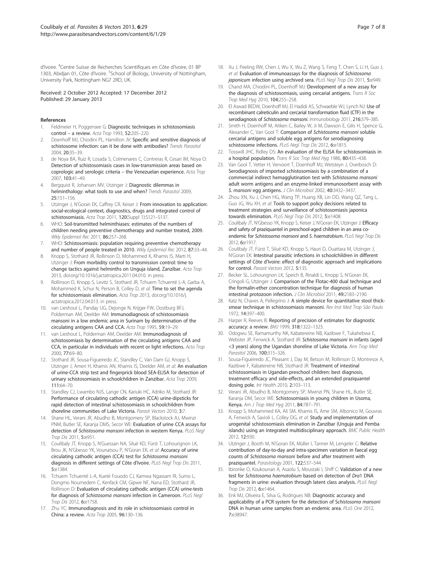<span id="page-6-0"></span>d'Ivoire. <sup>4</sup> Centre Suisse de Recherches Scientifiques en Côte d'Ivoire, 01 BP 1303, Abidjan 01, Côte d'Ivoire. <sup>5</sup>School of Biology, University of Nottingham, University Park, Nottingham NG7 2RD, UK.

Received: 2 October 2012 Accepted: 17 December 2012 Published: 29 January 2013

#### References

- Feldmeier H, Poggensee G: Diagnostic techniques in schistosomiasis control – a review. Acta Trop 1993, 52:205–220.
- Doenhoff MJ, Chiodini PL, Hamilton JV: Specific and sensitive diagnosis of schistosome infection: can it be done with antibodies? Trends Parasitol 2004, 20:35–39.
- 3. de Noya BA, Ruiz R, Losada S, Colmenares C, Contreras R, Cesari IM, Noya O: Detection of schistosomiasis cases in low-transmission areas based on coprologic and serologic criteria – the Venezuelan experience. Acta Trop 2007, 103:41–49.
- Bergquist R, Johansen MV, Utzinger J: Diagnostic dilemmas in helminthology: what tools to use and when? Trends Parasitol 2009, 25:151–156.
- 5. Utzinger J, N'Goran EK, Caffrey CR, Keiser J: From innovation to application: social-ecological context, diagnostics, drugs and integrated control of schistosomiasis. Acta Trop 2011, 120(Suppl 1):S121–S137.
- 6. WHO: Soil-transmitted helminthiases: estimates of the numbers of children needing preventive chemotherapy and number treated, 2009. Wkly Epidemiol Rec 2011, 86:257–268.
- 7. WHO: Schistosomiasis: population requiring preventive chemotherapy and number of people treated in 2010. Wkly Epidemiol Rec 2012, 87:33–44.
- 8. Knopp S, Stothard JR, Rollinson D, Mohammed K, Khamis IS, Marti H, Utzinger J: From morbidity control to transmission control: time to change tactics against helminths on Unguja island, Zanzibar. Acta Trop 2013, doi:[org/10.1016/j.actatropica.2011.04.010.](http://dx.doi.org/org/10.1016/j.actatropica.2011.04.010) in press.
- 9. Rollinson D, Knopp S, Levitz S, Stothard JR, Tchuem Tchuenté L-A, Garba A, Mohammed K, Schur N, Person B, Colley D, et al: Time to set the agenda for schistosomiasis elimination. Acta Trop 2013, doi:[org/10.1016/j.](http://dx.doi.org/org/10.1016/j.actatropica.2012.04.013) [actatropica.2012.04.013](http://dx.doi.org/org/10.1016/j.actatropica.2012.04.013). in press.
- 10. van Lieshout L, Panday UG, Dejonge N, Krijger FW, Oostburg BFJ, Polderman AM, Deelder AM: Immunodiagnosis of schistosomiasis mansoni in a low endemic area in Surinam by determination of the circulating antigens CAA and CCA. Acta Trop 1995, 59:19–29.
- 11. van Lieshout L, Polderman AM, Deelder AM: Immunodiagnosis of schistosomiasis by determination of the circulating antigens CAA and CCA, in particular in individuals with recent or light infections. Acta Trop 2000, 77:69–80.
- 12. Stothard JR, Sousa-Figueiredo JC, Standley C, Van Dam GJ, Knopp S, Utzinger J, Ameri H, Khamis AN, Khamis IS, Deelder AM, et al: An evaluation of urine-CCA strip test and fingerprick blood SEA-ELISA for detection of urinary schistosomiasis in schoolchildren in Zanzibar. Acta Trop 2009, 111:64–70.
- 13. Standley CJ, Lwambo NJS, Lange CN, Kariuki HC, Adriko M, Stothard JR: Performance of circulating cathodic antigen (CCA) urine-dipsticks for rapid detection of intestinal schistosomiasis in schoolchildren from shoreline communities of Lake Victoria. Parasit Vectors 2010, 3:7.
- 14. Shane HL, Verani JR, Abudho B, Montgomery SP, Blackstock AJ, Mwinzi PNM, Butler SE, Karanja DMS, Secor WE: Evaluation of urine CCA assays for detection of Schistosoma mansoni infection in western Kenya. PLoS Negl Trop Dis 2011, 5:e951.
- 15. Coulibaly JT, Knopp S, N'Guessan NA, Silué KD, Fürst T, Lohourignon LK, Brou JK, N'Gbesso YK, Vounatsou P, N'Goran EK, et al: Accuracy of urine circulating cathodic antigen (CCA) test for Schistosoma mansoni diagnosis in different settings of Côte d'Ivoire. PLoS Negl Trop Dis 2011, 5:e1384.
- 16. Tchuem Tchuenté L-A, Kueté Fouodo CJ, Kamwa Ngassam RI, Sumo L, Dongmo Noumedem C, Kenfack CM, Gipwe NF, Nana ED, Stothard JR, Rollinson D: Evaluation of circulating cathodic antigen (CCA) urine-tests for diagnosis of Schistosoma mansoni infection in Cameroon. PLoS Negl Trop Dis 2012, 6:e1758.
- 17. Zhu YC: Immunodiagnosis and its role in schistosomiasis control in China: a review. Acta Trop 2005, 96:130–136.
- 18. Xu J, Peeling RW, Chen J, Wu X, Wu Z, Wang S, Feng T, Chen S, Li H, Guo J, et al: Evaluation of immunoassays for the diagnosis of Schistosoma japonicum infection using archived sera. PLoS Negl Trop Dis 2011, 5:e949.
- 19. Chand MA, Chiodini PL, Doenhoff MJ: Development of a new assay for the diagnosis of schistosomiasis, using cercarial antigens. Trans R Soc Trop Med Hyg 2010, 104:255-258.
- 20. El Aswad BEDW, Doenhoff MJ, El Hadidi AS, Schwaeble WJ, Lynch NJ: Use of recombinant calreticulin and cercarial transformation fluid (CTF) in the serodiagnosis of Schistosoma mansoni. Immunobiology 2011, 216:379-385.
- 21. Smith H, Doenhoff M, Aitken C, Bailey W, Ji M, Dawson E, Gilis H, Spence G, Alexander C, Van Gool T: Comparison of Schistosoma mansoni soluble cercarial antigens and soluble egg antigens for serodiagnosing schistosome infections. PLoS Negl Trop Dis 2012, 6:e1815.
- 22. Tosswill JHC, Ridley DS: An evaluation of the ELISA for schistosomiasis in a hospital population. Trans R Soc Trop Med Hyg 1986, 80:435-438.
- 23. Van Gool T, Vetter H, Vervoort T, Doenhoff MJ, Wetsteyn J, Overbosch D: Serodiagnosis of imported schistosomiasis by a combination of a commercial indirect hemagglutination test with Schistosoma mansoni adult worm antigens and an enzyme-linked immunosorbent assay with S. mansoni egg antigens. J Clin Microbiol 2002, 40:3432–3437.
- 24. Zhou XN, Xu J, Chen HG, Wang TP, Huang XB, Lin DD, Wang QZ, Tang L, Guo JG, Wu XH, et al: Tools to support policy decisions related to treatment strategies and surveillance of schistosomiasis japonica towards elimination. PLoS Negl Trop Dis 2012, 5:e1408.
- Coulibaly JT, N'Gbesso YK, Knopp S, Keiser J, N'Goran EK, Utzinger J: Efficacy and safety of praziquantel in preschool-aged children in an area coendemic for Schistosoma mansoni and S. haematobium. PLoS Negl Trop Dis 2012, 6:e1917.
- 26. Coulibaly JT, Fürst T, Silué KD, Knopp S, Hauri D, Ouattara M, Utzinger J, N'Goran EK: Intestinal parasitic infections in schoolchildren in different settings of Côte d'Ivoire: effect of diagnostic approach and implications for control. Parasit Vectors 2012, 5:135.
- 27. Becker SL, Lohourignon LK, Speich B, Rinaldi L, Knopp S, N'Goran EK, Cringoli G, Utzinger J: Comparison of the Flotac-400 dual technique and the formalin-ether concentration technique for diagnosis of human intestinal protozoon infection. J Clin Microbiol 2011, 49:2183–2190.
- 28. Katz N, Chaves A, Pellegrino J: A simple device for quantitative stool thicksmear technique in schistosomiasis mansoni. Rev Inst Med Trop São Paulo 1972, 14:397–400.
- 29. Harper R, Reeves B: Reporting of precision of estimates for diagnostic accuracy: a review. BMJ 1999, 318:1322–1323.
- 30. Odogwu SE, Ramamurthy NK, Kabatereine NB, Kazibwe F, Tukahebwa E, Webster JP, Fenwick A, Stothard JR: Schistosoma mansoni in infants (aged <3 years) along the Ugandan shoreline of Lake Victoria. Ann Trop Med Parasitol 2006, 100:315–326.
- 31. Sousa-Figueiredo JC, Pleasant J, Day M, Betson M, Rollinson D, Montresor A, Kazibwe F, Kabatereine NB, Stothard JR: Treatment of intestinal schistosomiasis in Ugandan preschool children: best diagnosis, treatment efficacy and side-effects, and an extended praziquantel dosing pole. Int Health 2010, 2:103–113.
- 32. Verani JR, Abudho B, Montgomery SP, Mwinzi PN, Shane HL, Butler SE, Karanja DM, Secor WE: Schistosomiasis in young children in Usoma, Kenya. Am J Trop Med Hyg 2011, 84:787–791.
- 33. Knopp S, Mohammed KA, Ali SM, Khamis IS, Ame SM, Albonico M, Gouvras A, Fenwick A, Savioli L, Colley DG, et al: Study and implementation of urogenital schistosomiasis elimination in Zanzibar (Unguja and Pemba islands) using an integrated multidisciplinary approach. BMC Public Health 2012, 12:930.
- 34. Utzinger J, Booth M, N'Goran EK, Müller I, Tanner M, Lengeler C: Relative contribution of day-to-day and intra-specimen variation in faecal egg counts of Schistosoma mansoni before and after treatment with praziquantel. Parasitology 2001, 122:537–544.
- 35. Ibironke O, Koukounari A, Asaolu S, Moustaki I, Shiff C: Validation of a new test for Schistosoma haematobium based on detection of Dra1 DNA fragments in urine: evaluation through latent class analysis. PLoS Negl Trop Dis 2012, 6:e1464.
- 36. Enk MJ, Oliveira E, Silva G, Rodrigues NB: Diagnostic accuracy and applicability of a PCR system for the detection of Schistosoma mansoni DNA in human urine samples from an endemic area. PLoS One 2012, 7:e38947.